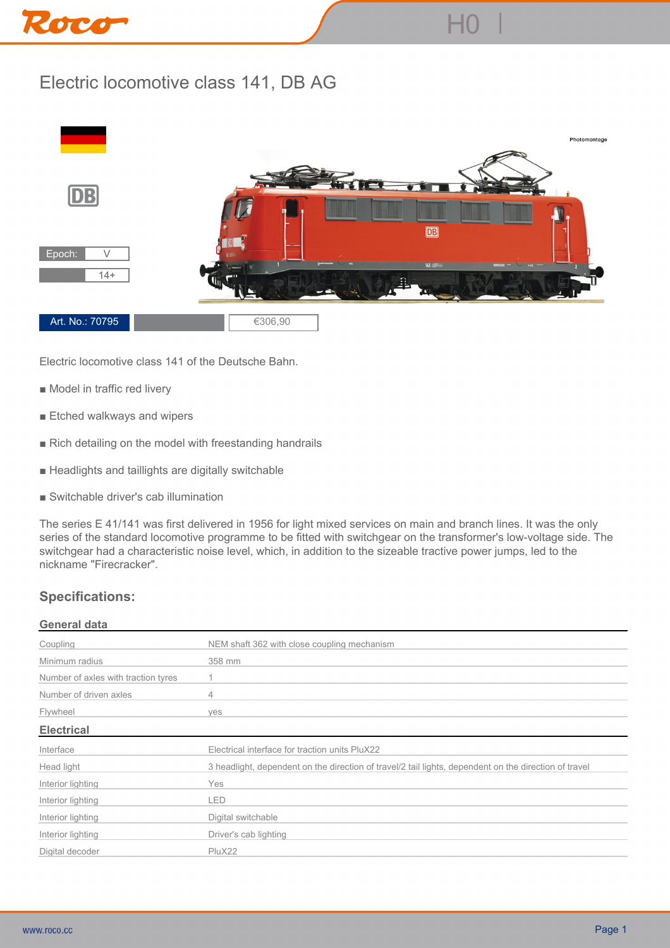# Roco

# **Electric locomotive class 141, DB AG**



**Electric locomotive class 141 of the Deutsche Bahn.**

- Model in traffic red livery
- **Etched walkways and wipers**
- **Rich detailing on the model with freestanding handrails**
- **Headlights and taillights are digitally switchable**
- **Switchable driver's cab illumination**

**The series E 41/141 was first delivered in 1956 for light mixed services on main and branch lines. It was the only series of the standard locomotive programme to be fitted with switchgear on the transformer's low-voltage side. The switchgear had a characteristic noise level, which, in addition to the sizeable tractive power jumps, led to the nickname "Firecracker".**

## **Specifications:**

### **General data**

| Coupling                            | NEM shaft 362 with close coupling mechanism                                                           |
|-------------------------------------|-------------------------------------------------------------------------------------------------------|
| Minimum radius                      | 358 mm                                                                                                |
| Number of axles with traction tyres |                                                                                                       |
| Number of driven axles              | 4                                                                                                     |
| Flywheel                            | ves                                                                                                   |
| <b>Electrical</b>                   |                                                                                                       |
| Interface                           | Electrical interface for traction units PluX22                                                        |
| Head light                          | 3 headlight, dependent on the direction of travel/2 tail lights, dependent on the direction of travel |
| Interior lighting                   | Yes                                                                                                   |
| Interior lighting                   | LED                                                                                                   |
| Interior lighting                   | Digital switchable                                                                                    |
| Interior lighting                   | Driver's cab lighting                                                                                 |
| Digital decoder                     | PluX22                                                                                                |